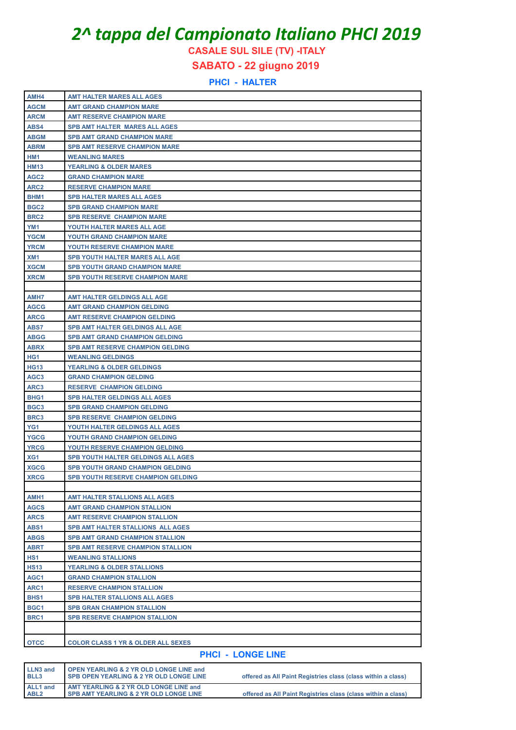# *2^ tappa del Campionato Italiano PHCI 2019*

**CASALE SUL SILE (TV) -ITALY** 

 **SABATO - 22 giugno 2019**

**PHCI - HALTER**

| AMH4                                              | <b>AMT HALTER MARES ALL AGES</b>              |
|---------------------------------------------------|-----------------------------------------------|
| <b>AGCM</b>                                       | <b>AMT GRAND CHAMPION MARE</b>                |
| <b>ARCM</b>                                       | <b>AMT RESERVE CHAMPION MARE</b>              |
| ABS4                                              | <b>SPB AMT HALTER MARES ALL AGES</b>          |
| <b>ABGM</b><br><b>SPB AMT GRAND CHAMPION MARE</b> |                                               |
| <b>ABRM</b>                                       | <b>SPB AMT RESERVE CHAMPION MARE</b>          |
| HM1                                               | <b>WEANLING MARES</b>                         |
| <b>HM13</b>                                       | <b>YEARLING &amp; OLDER MARES</b>             |
| AGC <sub>2</sub>                                  | <b>GRAND CHAMPION MARE</b>                    |
| ARC <sub>2</sub>                                  | <b>RESERVE CHAMPION MARE</b>                  |
| BHM1                                              | <b>SPB HALTER MARES ALL AGES</b>              |
| BGC <sub>2</sub>                                  | <b>SPB GRAND CHAMPION MARE</b>                |
| BRC <sub>2</sub>                                  | <b>SPB RESERVE CHAMPION MARE</b>              |
| YM1                                               | YOUTH HALTER MARES ALL AGE                    |
| <b>YGCM</b>                                       | YOUTH GRAND CHAMPION MARE                     |
| <b>YRCM</b>                                       | <b>YOUTH RESERVE CHAMPION MARE</b>            |
| XM1                                               | <b>SPB YOUTH HALTER MARES ALL AGE</b>         |
| <b>XGCM</b>                                       | <b>SPB YOUTH GRAND CHAMPION MARE</b>          |
| <b>XRCM</b>                                       | <b>SPB YOUTH RESERVE CHAMPION MARE</b>        |
|                                                   |                                               |
| AMH7                                              | <b>AMT HALTER GELDINGS ALL AGE</b>            |
| <b>AGCG</b>                                       | AMT GRAND CHAMPION GELDING                    |
| <b>ARCG</b>                                       | <b>AMT RESERVE CHAMPION GELDING</b>           |
| ABS7                                              | SPB AMT HALTER GELDINGS ALL AGE               |
| <b>ABGG</b>                                       | <b>SPB AMT GRAND CHAMPION GELDING</b>         |
| <b>ABRX</b>                                       | <b>SPB AMT RESERVE CHAMPION GELDING</b>       |
| HG1                                               | <b>WEANLING GELDINGS</b>                      |
| <b>HG13</b>                                       | <b>YEARLING &amp; OLDER GELDINGS</b>          |
| AGC <sub>3</sub>                                  | <b>GRAND CHAMPION GELDING</b>                 |
| ARC3                                              | <b>RESERVE CHAMPION GELDING</b>               |
| BHG1                                              | <b>SPB HALTER GELDINGS ALL AGES</b>           |
| BGC <sub>3</sub>                                  | <b>SPB GRAND CHAMPION GELDING</b>             |
| BRC3                                              | <b>SPB RESERVE CHAMPION GELDING</b>           |
| YG <sub>1</sub>                                   | YOUTH HALTER GELDINGS ALL AGES                |
| <b>YGCG</b>                                       | YOUTH GRAND CHAMPION GELDING                  |
| <b>YRCG</b>                                       | YOUTH RESERVE CHAMPION GELDING                |
| XG1                                               | <b>SPB YOUTH HALTER GELDINGS ALL AGES</b>     |
| <b>XGCG</b>                                       | <b>SPB YOUTH GRAND CHAMPION GELDING</b>       |
| <b>XRCG</b>                                       | <b>SPB YOUTH RESERVE CHAMPION GELDING</b>     |
|                                                   |                                               |
| AMH <sub>1</sub>                                  | <b>AMT HALTER STALLIONS ALL AGES</b>          |
| <b>AGCS</b>                                       | <b>AMT GRAND CHAMPION STALLION</b>            |
| <b>ARCS</b>                                       | <b>AMT RESERVE CHAMPION STALLION</b>          |
| ABS1                                              | SPB AMT HALTER STALLIONS ALL AGES             |
| <b>ABGS</b>                                       | <b>SPB AMT GRAND CHAMPION STALLION</b>        |
| <b>ABRT</b>                                       | <b>SPB AMT RESERVE CHAMPION STALLION</b>      |
| HS1                                               | <b>WEANLING STALLIONS</b>                     |
| <b>HS13</b>                                       | <b>YEARLING &amp; OLDER STALLIONS</b>         |
| AGC1                                              | <b>GRAND CHAMPION STALLION</b>                |
| ARC1                                              | <b>RESERVE CHAMPION STALLION</b>              |
| BHS <sub>1</sub>                                  | <b>SPB HALTER STALLIONS ALL AGES</b>          |
| BGC1                                              | <b>SPB GRAN CHAMPION STALLION</b>             |
| BRC1                                              | <b>SPB RESERVE CHAMPION STALLION</b>          |
|                                                   |                                               |
| <b>OTCC</b>                                       | <b>COLOR CLASS 1 YR &amp; OLDER ALL SEXES</b> |

**PHCI - LONGE LINE**

#### **LLN3 and BLL3 OPEN YEARLING & 2 YR OLD LONGE LINE and** offered as All Paint Registries class (class within a class) **ALL1 and ABL2 AMT YEARLING & 2 YR OLD LONGE LINE and**  offered as All Paint Registries class (class within a class)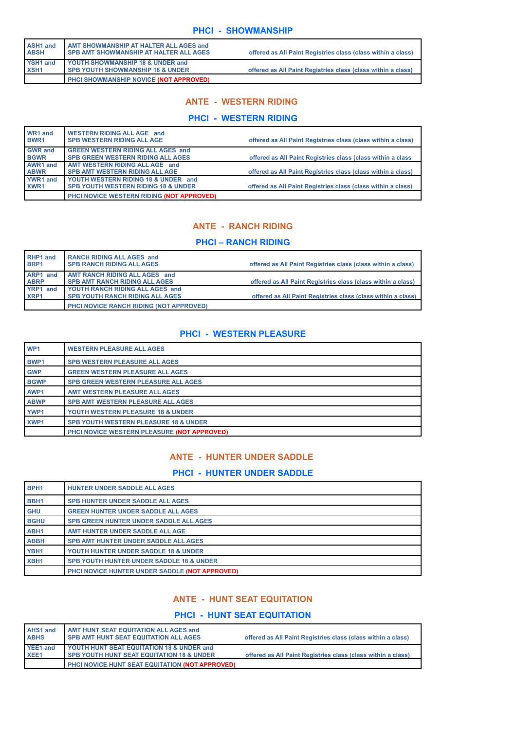#### **PHCI - SHOWMANSHIP**

| ASH <sub>1</sub> and<br><b>ABSH</b> | AMT SHOWMANSHIP AT HALTER ALL AGES and<br>I SPB AMT SHOWMANSHIP AT HALTER ALL AGES | offered as All Paint Registries class (class within a class) |
|-------------------------------------|------------------------------------------------------------------------------------|--------------------------------------------------------------|
| YSH1 and                            | <b>YOUTH SHOWMANSHIP 18 &amp; UNDER and</b>                                        |                                                              |
| XSH <sub>1</sub>                    | <b>SPB YOUTH SHOWMANSHIP 18 &amp; UNDER</b>                                        | offered as All Paint Registries class (class within a class) |
|                                     | PHCI SHOWMANSHIP NOVICE (NOT APPROVED)                                             |                                                              |

#### **ANTE - WESTERN RIDING**

#### **PHCI - WESTERN RIDING**

| WR1 and<br>BWR <sub>1</sub>         | <b>WESTERN RIDING ALL AGE and</b><br><b>SPB WESTERN RIDING ALL AGE</b>                | offered as All Paint Registries class (class within a class) |
|-------------------------------------|---------------------------------------------------------------------------------------|--------------------------------------------------------------|
| <b>GWR</b> and<br><b>BGWR</b>       | <b>GREEN WESTERN RIDING ALL AGES and</b><br><b>SPB GREEN WESTERN RIDING ALL AGES</b>  | offered as All Paint Registries class (class within a class  |
| AWR1 and<br><b>ABWR</b>             | AMT WESTERN RIDING ALL AGE and<br><b>SPB AMT WESTERN RIDING ALL AGE</b>               | offered as All Paint Registries class (class within a class) |
| <b>YWR1 and</b><br>XWR <sub>1</sub> | YOUTH WESTERN RIDING 18 & UNDER and<br><b>SPB YOUTH WESTERN RIDING 18 &amp; UNDER</b> | offered as All Paint Registries class (class within a class) |
|                                     | PHCI NOVICE WESTERN RIDING (NOT APPROVED)                                             |                                                              |

#### **ANTE - RANCH RIDING**

#### **PHCI – RANCH RIDING**

| RHP1 and<br>BRP1 | RANCH RIDING ALL AGES and<br><b>SPB RANCH RIDING ALL AGES</b> | offered as All Paint Registries class (class within a class) |
|------------------|---------------------------------------------------------------|--------------------------------------------------------------|
| ARP1 and         | <b>AMT RANCH RIDING ALL AGES and</b>                          |                                                              |
| <b>ABRP</b>      | <b>SPB AMT RANCH RIDING ALL AGES</b>                          | offered as All Paint Registries class (class within a class) |
| <b>YRP1</b> and  | <b>I YOUTH RANCH RIDING ALL AGES and</b>                      |                                                              |
| <b>XRP1</b>      | <b>SPB YOUTH RANCH RIDING ALL AGES</b>                        | offered as All Paint Registries class (class within a class) |
|                  | <b>PHCI NOVICE RANCH RIDING (NOT APPROVED)</b>                |                                                              |

#### **PHCI - WESTERN PLEASURE**

| WP <sub>1</sub>  | <b>WESTERN PLEASURE ALL AGES</b>                 |
|------------------|--------------------------------------------------|
| BWP <sub>1</sub> | <b>SPB WESTERN PLEASURE ALL AGES</b>             |
| <b>GWP</b>       | <b>GREEN WESTERN PLEASURE ALL AGES</b>           |
| <b>BGWP</b>      | <b>SPB GREEN WESTERN PLEASURE ALL AGES</b>       |
| AWP <sub>1</sub> | AMT WESTERN PLEASURE ALL AGES                    |
| <b>ABWP</b>      | <b>SPB AMT WESTERN PLEASURE ALL AGES</b>         |
| YWP1             | <b>YOUTH WESTERN PLEASURE 18 &amp; UNDER</b>     |
| XWP1             | <b>SPB YOUTH WESTERN PLEASURE 18 &amp; UNDER</b> |
|                  | PHCI NOVICE WESTERN PLEASURE (NOT APPROVED)      |

#### **ANTE - HUNTER UNDER SADDLE**

### **PHCI - HUNTER UNDER SADDLE**

| BPH <sub>1</sub> | <b>HUNTER UNDER SADDLE ALL AGES</b>                 |  |
|------------------|-----------------------------------------------------|--|
| BBH <sub>1</sub> | <b>SPB HUNTER UNDER SADDLE ALL AGES</b>             |  |
| <b>GHU</b>       | <b>GREEN HUNTER UNDER SADDLE ALL AGES</b>           |  |
| <b>BGHU</b>      | <b>SPB GREEN HUNTER UNDER SADDLE ALL AGES</b>       |  |
| ABH <sub>1</sub> | AMT HUNTER UNDER SADDLE ALL AGE                     |  |
| <b>ABBH</b>      | <b>SPB AMT HUNTER UNDER SADDLE ALL AGES</b>         |  |
| YBH1             | YOUTH HUNTER UNDER SADDLE 18 & UNDER                |  |
| XBH <sub>1</sub> | <b>SPB YOUTH HUNTER UNDER SADDLE 18 &amp; UNDER</b> |  |
|                  | PHCI NOVICE HUNTER UNDER SADDLE (NOT APPROVED)      |  |

#### **ANTE - HUNT SEAT EQUITATION**

#### **PHCI - HUNT SEAT EQUITATION**

| <b>AHS1 and</b><br><b>ABHS</b>      | <b>AMT HUNT SEAT EQUITATION ALL AGES and</b><br><b>SPB AMT HUNT SEAT EQUITATION ALL AGES</b>        | offered as All Paint Registries class (class within a class) |
|-------------------------------------|-----------------------------------------------------------------------------------------------------|--------------------------------------------------------------|
| <b>YEE1</b> and<br>XEE <sub>1</sub> | YOUTH HUNT SEAT EQUITATION 18 & UNDER and<br><b>I SPB YOUTH HUNT SEAT EQUITATION 18 &amp; UNDER</b> | offered as All Paint Registries class (class within a class) |
|                                     | PHCI NOVICE HUNT SEAT EQUITATION (NOT APPROVED)                                                     |                                                              |